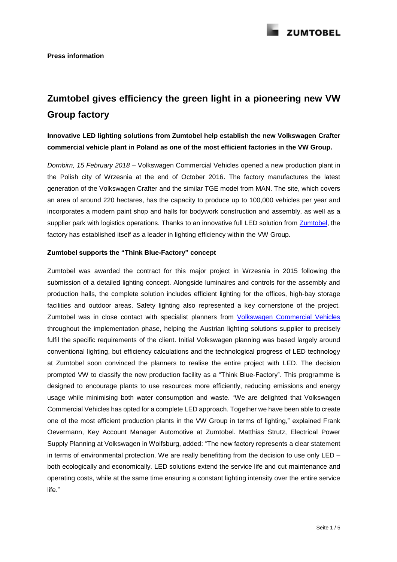

# **Zumtobel gives efficiency the green light in a pioneering new VW Group factory**

**Innovative LED lighting solutions from Zumtobel help establish the new Volkswagen Crafter commercial vehicle plant in Poland as one of the most efficient factories in the VW Group.**

*Dornbirn, 15 February 2018* – Volkswagen Commercial Vehicles opened a new production plant in the Polish city of Wrzesnia at the end of October 2016. The factory manufactures the latest generation of the Volkswagen Crafter and the similar TGE model from MAN. The site, which covers an area of around 220 hectares, has the capacity to produce up to 100,000 vehicles per year and incorporates a modern paint shop and halls for bodywork construction and assembly, as well as a supplier park with logistics operations. Thanks to an innovative full LED solution from [Zumtobel,](http://www.zumtobel.com/com-en/index.html) the factory has established itself as a leader in lighting efficiency within the VW Group.

# **Zumtobel supports the "Think Blue-Factory" concept**

Zumtobel was awarded the contract for this major project in Wrzesnia in 2015 following the submission of a detailed lighting concept. Alongside luminaires and controls for the assembly and production halls, the complete solution includes efficient lighting for the offices, high-bay storage facilities and outdoor areas. Safety lighting also represented a key cornerstone of the project. Zumtobel was in close contact with specialist planners from [Volkswagen Commercial Vehicles](http://www.volkswagen-commercial-vehicles.com/en.html) throughout the implementation phase, helping the Austrian lighting solutions supplier to precisely fulfil the specific requirements of the client. Initial Volkswagen planning was based largely around conventional lighting, but efficiency calculations and the technological progress of LED technology at Zumtobel soon convinced the planners to realise the entire project with LED. The decision prompted VW to classify the new production facility as a "Think Blue-Factory". This programme is designed to encourage plants to use resources more efficiently, reducing emissions and energy usage while minimising both water consumption and waste. "We are delighted that Volkswagen Commercial Vehicles has opted for a complete LED approach. Together we have been able to create one of the most efficient production plants in the VW Group in terms of lighting," explained Frank Oevermann, Key Account Manager Automotive at Zumtobel. Matthias Strutz, Electrical Power Supply Planning at Volkswagen in Wolfsburg, added: "The new factory represents a clear statement in terms of environmental protection. We are really benefitting from the decision to use only LED – both ecologically and economically. LED solutions extend the service life and cut maintenance and operating costs, while at the same time ensuring a constant lighting intensity over the entire service life."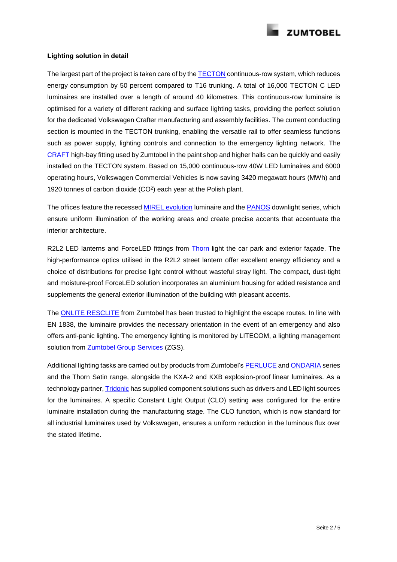

# **Lighting solution in detail**

The largest part of the project is taken care of by the **TECTON** continuous-row system, which reduces energy consumption by 50 percent compared to T16 trunking. A total of 16,000 TECTON C LED luminaires are installed over a length of around 40 kilometres. This continuous-row luminaire is optimised for a variety of different racking and surface lighting tasks, providing the perfect solution for the dedicated Volkswagen Crafter manufacturing and assembly facilities. The current conducting section is mounted in the TECTON trunking, enabling the versatile rail to offer seamless functions such as power supply, lighting controls and connection to the emergency lighting network. The [CRAFT](https://www.zumtobel.com/com-en/products/craft.html) high-bay fitting used by Zumtobel in the paint shop and higher halls can be quickly and easily installed on the TECTON system. Based on 15,000 continuous-row 40W LED luminaires and 6000 operating hours, Volkswagen Commercial Vehicles is now saving 3420 megawatt hours (MWh) and 1920 tonnes of carbon dioxide (CO<sup>2</sup>) each year at the Polish plant.

The offices feature the recessed **MIREL** evolution luminaire and the **PANOS** downlight series, which ensure uniform illumination of the working areas and create precise accents that accentuate the interior architecture.

R2L2 LED lanterns and ForceLED fittings from [Thorn](http://www.thornlighting.com/en) light the car park and exterior façade. The high-performance optics utilised in the R2L2 street lantern offer excellent energy efficiency and a choice of distributions for precise light control without wasteful stray light. The compact, dust-tight and moisture-proof ForceLED solution incorporates an aluminium housing for added resistance and supplements the general exterior illumination of the building with pleasant accents.

The [ONLITE RESCLITE](http://www.zumtobel.com/com-en/products/products.html?onlite) from Zumtobel has been trusted to highlight the escape routes. In line with EN 1838, the luminaire provides the necessary orientation in the event of an emergency and also offers anti-panic lighting. The emergency lighting is monitored by LITECOM, a lighting management solution from Zumtobel [Group Services](http://www.zgservices.com/) (ZGS).

Additional lighting tasks are carried out by products from Zumtobel's [PERLUCE](http://www.zumtobel.com/com-en/products/perluce.html) an[d ONDARIA](http://www.zumtobel.com/com-en/products/ondaria.html) series and the Thorn Satin range, alongside the KXA-2 and KXB explosion-proof linear luminaires. As a technology partner, [Tridonic](http://www.tridonic.com/com/en/) has supplied component solutions such as drivers and LED light sources for the luminaires. A specific Constant Light Output (CLO) setting was configured for the entire luminaire installation during the manufacturing stage. The CLO function, which is now standard for all industrial luminaires used by Volkswagen, ensures a uniform reduction in the luminous flux over the stated lifetime.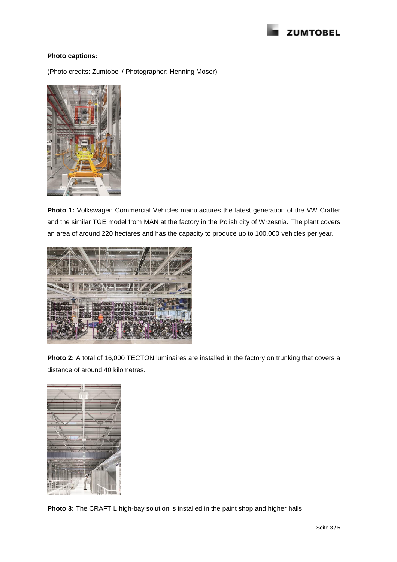

# **Photo captions:**

(Photo credits: Zumtobel / Photographer: Henning Moser)



**Photo 1:** Volkswagen Commercial Vehicles manufactures the latest generation of the VW Crafter and the similar TGE model from MAN at the factory in the Polish city of Wrzesnia. The plant covers an area of around 220 hectares and has the capacity to produce up to 100,000 vehicles per year.



Photo 2: A total of 16,000 TECTON luminaires are installed in the factory on trunking that covers a distance of around 40 kilometres.



**Photo 3:** The CRAFT L high-bay solution is installed in the paint shop and higher halls.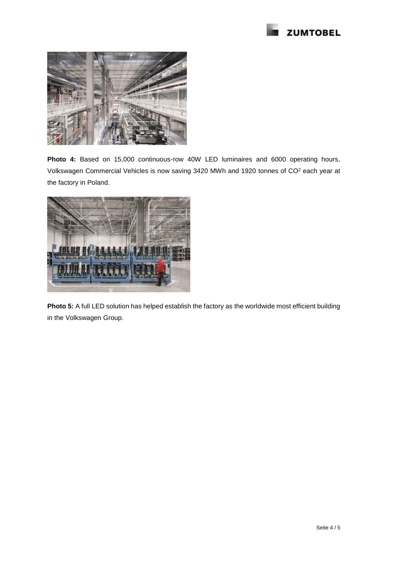



Photo 4: Based on 15,000 continuous-row 40W LED luminaires and 6000 operating hours, Volkswagen Commercial Vehicles is now saving 3420 MWh and 1920 tonnes of CO<sup>2</sup> each year at the factory in Poland.



**Photo 5:** A full LED solution has helped establish the factory as the worldwide most efficient building in the Volkswagen Group.